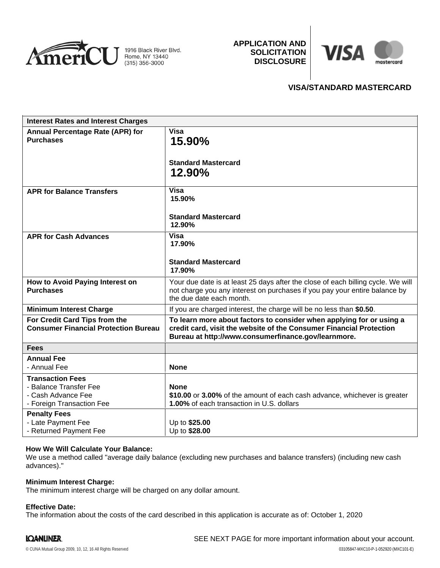

**APPLICATION AND SOLICITATION DISCLOSURE**



# **VISA/STANDARD MASTERCARD**

| <b>Interest Rates and Interest Charges</b>                                                           |                                                                                                                                                                                                    |
|------------------------------------------------------------------------------------------------------|----------------------------------------------------------------------------------------------------------------------------------------------------------------------------------------------------|
| Annual Percentage Rate (APR) for<br><b>Purchases</b>                                                 | <b>Visa</b><br>15.90%<br><b>Standard Mastercard</b><br>12.90%                                                                                                                                      |
| <b>APR for Balance Transfers</b>                                                                     | <b>Visa</b><br>15.90%<br><b>Standard Mastercard</b><br>12.90%                                                                                                                                      |
| <b>APR for Cash Advances</b>                                                                         | <b>Visa</b><br>17.90%<br><b>Standard Mastercard</b><br>17.90%                                                                                                                                      |
| How to Avoid Paying Interest on<br><b>Purchases</b>                                                  | Your due date is at least 25 days after the close of each billing cycle. We will<br>not charge you any interest on purchases if you pay your entire balance by<br>the due date each month.         |
| <b>Minimum Interest Charge</b>                                                                       | If you are charged interest, the charge will be no less than \$0.50.                                                                                                                               |
| For Credit Card Tips from the<br><b>Consumer Financial Protection Bureau</b>                         | To learn more about factors to consider when applying for or using a<br>credit card, visit the website of the Consumer Financial Protection<br>Bureau at http://www.consumerfinance.gov/learnmore. |
| <b>Fees</b>                                                                                          |                                                                                                                                                                                                    |
| <b>Annual Fee</b><br>- Annual Fee                                                                    | <b>None</b>                                                                                                                                                                                        |
| <b>Transaction Fees</b><br>- Balance Transfer Fee<br>- Cash Advance Fee<br>- Foreign Transaction Fee | <b>None</b><br>\$10.00 or 3.00% of the amount of each cash advance, whichever is greater<br>1.00% of each transaction in U.S. dollars                                                              |
| <b>Penalty Fees</b><br>- Late Payment Fee<br>- Returned Payment Fee                                  | Up to \$25.00<br>Up to \$28.00                                                                                                                                                                     |

# **How We Will Calculate Your Balance:**

We use a method called "average daily balance (excluding new purchases and balance transfers) (including new cash advances)."

#### **Minimum Interest Charge:**

The minimum interest charge will be charged on any dollar amount.

### **Effective Date:**

The information about the costs of the card described in this application is accurate as of: October 1, 2020

# **IQANLINER.**